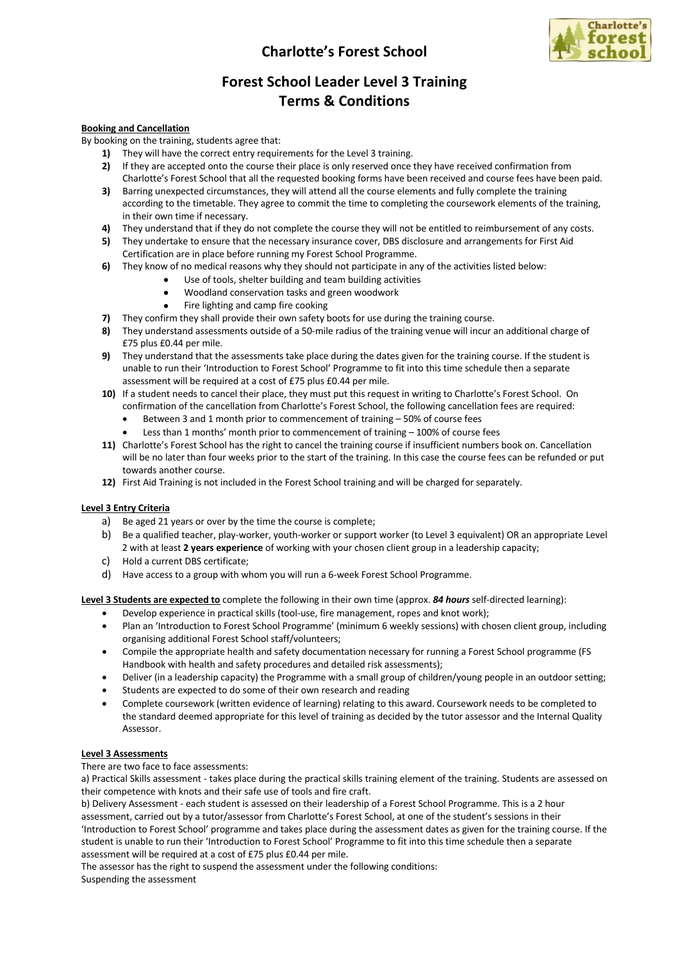# **Charlotte's Forest School**



## **Forest School Leader Level 3 Training Terms & Conditions**

## **Booking and Cancellation**

By booking on the training, students agree that:

- **1)** They will have the correct entry requirements for the Level 3 training.
- **2)** If they are accepted onto the course their place is only reserved once they have received confirmation from Charlotte's Forest School that all the requested booking forms have been received and course fees have been paid.
- **3)** Barring unexpected circumstances, they will attend all the course elements and fully complete the training according to the timetable. They agree to commit the time to completing the coursework elements of the training, in their own time if necessary.
- **4)** They understand that if they do not complete the course they will not be entitled to reimbursement of any costs.
- **5)** They undertake to ensure that the necessary insurance cover, DBS disclosure and arrangements for First Aid Certification are in place before running my Forest School Programme.
- **6)** They know of no medical reasons why they should not participate in any of the activities listed below:
	- Use of tools, shelter building and team building activities
	- Woodland conservation tasks and green woodwork
	- Fire lighting and camp fire cooking
- **7)** They confirm they shall provide their own safety boots for use during the training course.
- **8)** They understand assessments outside of a 50-mile radius of the training venue will incur an additional charge of £75 plus £0.44 per mile.
- **9)** They understand that the assessments take place during the dates given for the training course. If the student is unable to run their 'Introduction to Forest School' Programme to fit into this time schedule then a separate assessment will be required at a cost of £75 plus £0.44 per mile.
- **10)** If a student needs to cancel their place, they must put this request in writing to Charlotte's Forest School. On confirmation of the cancellation from Charlotte's Forest School, the following cancellation fees are required:
	- Between 3 and 1 month prior to commencement of training 50% of course fees
	- Less than 1 months' month prior to commencement of training 100% of course fees
- **11)** Charlotte's Forest School has the right to cancel the training course if insufficient numbers book on. Cancellation will be no later than four weeks prior to the start of the training. In this case the course fees can be refunded or put towards another course.
- **12)** First Aid Training is not included in the Forest School training and will be charged for separately.

## **Level 3 Entry Criteria**

- a) Be aged 21 years or over by the time the course is complete;
- b) Be a qualified teacher, play-worker, youth-worker or support worker (to Level 3 equivalent) OR an appropriate Level 2 with at least **2 years experience** of working with your chosen client group in a leadership capacity;
- c) Hold a current DBS certificate;
- d) Have access to a group with whom you will run a 6-week Forest School Programme.

**Level 3 Students are expected to** complete the following in their own time (approx. *84 hours* self-directed learning):

- Develop experience in practical skills (tool-use, fire management, ropes and knot work);
- Plan an 'Introduction to Forest School Programme' (minimum 6 weekly sessions) with chosen client group, including organising additional Forest School staff/volunteers;
- Compile the appropriate health and safety documentation necessary for running a Forest School programme (FS Handbook with health and safety procedures and detailed risk assessments);
- Deliver (in a leadership capacity) the Programme with a small group of children/young people in an outdoor setting;
- Students are expected to do some of their own research and reading
- Complete coursework (written evidence of learning) relating to this award. Coursework needs to be completed to the standard deemed appropriate for this level of training as decided by the tutor assessor and the Internal Quality Assessor.

## **Level 3 Assessments**

There are two face to face assessments:

a) Practical Skills assessment - takes place during the practical skills training element of the training. Students are assessed on their competence with knots and their safe use of tools and fire craft.

b) Delivery Assessment - each student is assessed on their leadership of a Forest School Programme. This is a 2 hour assessment, carried out by a tutor/assessor from Charlotte's Forest School, at one of the student's sessions in their 'Introduction to Forest School' programme and takes place during the assessment dates as given for the training course. If the student is unable to run their 'Introduction to Forest School' Programme to fit into this time schedule then a separate assessment will be required at a cost of £75 plus £0.44 per mile.

The assessor has the right to suspend the assessment under the following conditions: Suspending the assessment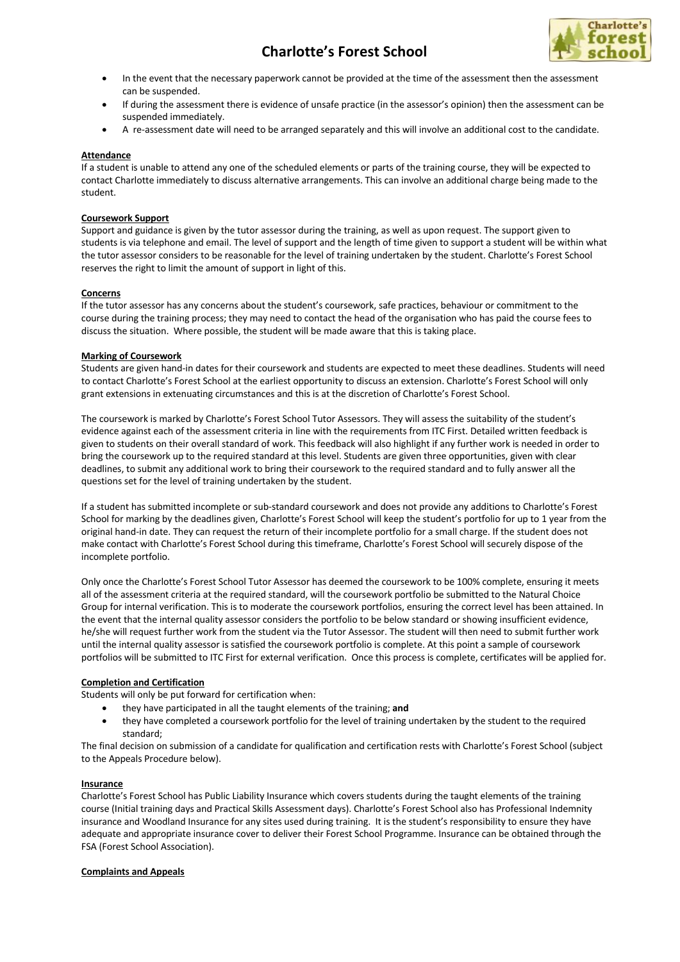# **Charlotte's Forest School**



- In the event that the necessary paperwork cannot be provided at the time of the assessment then the assessment can be suspended.
- If during the assessment there is evidence of unsafe practice (in the assessor's opinion) then the assessment can be suspended immediately.
- A re-assessment date will need to be arranged separately and this will involve an additional cost to the candidate.

## **Attendance**

If a student is unable to attend any one of the scheduled elements or parts of the training course, they will be expected to contact Charlotte immediately to discuss alternative arrangements. This can involve an additional charge being made to the student.

### **Coursework Support**

Support and guidance is given by the tutor assessor during the training, as well as upon request. The support given to students is via telephone and email. The level of support and the length of time given to support a student will be within what the tutor assessor considers to be reasonable for the level of training undertaken by the student. Charlotte's Forest School reserves the right to limit the amount of support in light of this.

## **Concerns**

If the tutor assessor has any concerns about the student's coursework, safe practices, behaviour or commitment to the course during the training process; they may need to contact the head of the organisation who has paid the course fees to discuss the situation. Where possible, the student will be made aware that this is taking place.

## **Marking of Coursework**

Students are given hand-in dates for their coursework and students are expected to meet these deadlines. Students will need to contact Charlotte's Forest School at the earliest opportunity to discuss an extension. Charlotte's Forest School will only grant extensions in extenuating circumstances and this is at the discretion of Charlotte's Forest School.

The coursework is marked by Charlotte's Forest School Tutor Assessors. They will assess the suitability of the student's evidence against each of the assessment criteria in line with the requirements from ITC First. Detailed written feedback is given to students on their overall standard of work. This feedback will also highlight if any further work is needed in order to bring the coursework up to the required standard at this level. Students are given three opportunities, given with clear deadlines, to submit any additional work to bring their coursework to the required standard and to fully answer all the questions set for the level of training undertaken by the student.

If a student has submitted incomplete or sub-standard coursework and does not provide any additions to Charlotte's Forest School for marking by the deadlines given, Charlotte's Forest School will keep the student's portfolio for up to 1 year from the original hand-in date. They can request the return of their incomplete portfolio for a small charge. If the student does not make contact with Charlotte's Forest School during this timeframe, Charlotte's Forest School will securely dispose of the incomplete portfolio.

Only once the Charlotte's Forest School Tutor Assessor has deemed the coursework to be 100% complete, ensuring it meets all of the assessment criteria at the required standard, will the coursework portfolio be submitted to the Natural Choice Group for internal verification. This is to moderate the coursework portfolios, ensuring the correct level has been attained. In the event that the internal quality assessor considers the portfolio to be below standard or showing insufficient evidence, he/she will request further work from the student via the Tutor Assessor. The student will then need to submit further work until the internal quality assessor is satisfied the coursework portfolio is complete. At this point a sample of coursework portfolios will be submitted to ITC First for external verification. Once this process is complete, certificates will be applied for.

#### **Completion and Certification**

Students will only be put forward for certification when:

- they have participated in all the taught elements of the training; **and**
- they have completed a coursework portfolio for the level of training undertaken by the student to the required standard;

The final decision on submission of a candidate for qualification and certification rests with Charlotte's Forest School (subject to the Appeals Procedure below).

#### **Insurance**

Charlotte's Forest School has Public Liability Insurance which covers students during the taught elements of the training course (Initial training days and Practical Skills Assessment days). Charlotte's Forest School also has Professional Indemnity insurance and Woodland Insurance for any sites used during training. It is the student's responsibility to ensure they have adequate and appropriate insurance cover to deliver their Forest School Programme. Insurance can be obtained through the FSA (Forest School Association).

#### **Complaints and Appeals**